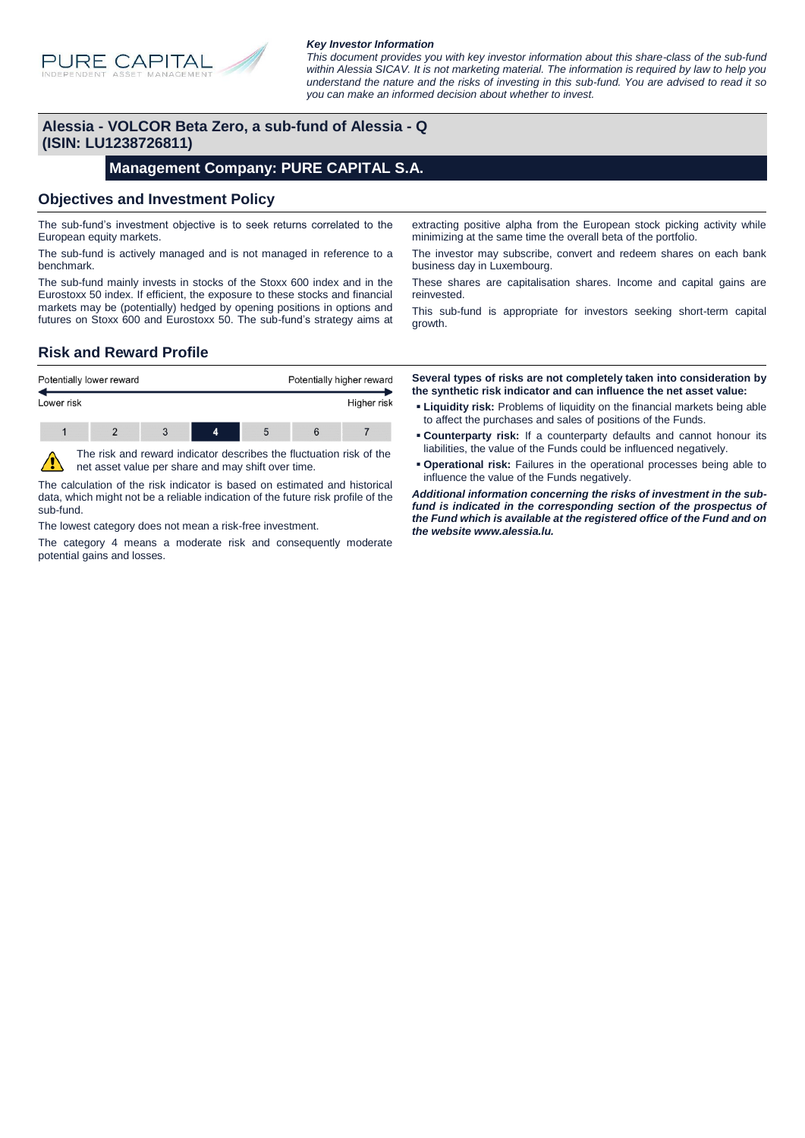

#### *Key Investor Information*

*This document provides you with key investor information about this share-class of the sub-fund within Alessia SICAV. It is not marketing material. The information is required by law to help you understand the nature and the risks of investing in this sub-fund. You are advised to read it so you can make an informed decision about whether to invest.*

### **Alessia - VOLCOR Beta Zero, a sub-fund of Alessia - Q (ISIN: LU1238726811)**

#### **Management Company: PURE CAPITAL S.A.**

#### **Objectives and Investment Policy**

The sub-fund's investment objective is to seek returns correlated to the European equity markets.

The sub-fund is actively managed and is not managed in reference to a benchmark.

The sub-fund mainly invests in stocks of the Stoxx 600 index and in the Eurostoxx 50 index. If efficient, the exposure to these stocks and financial markets may be (potentially) hedged by opening positions in options and futures on Stoxx 600 and Eurostoxx 50. The sub-fund's strategy aims at

extracting positive alpha from the European stock picking activity while minimizing at the same time the overall beta of the portfolio.

The investor may subscribe, convert and redeem shares on each bank business day in Luxembourg.

These shares are capitalisation shares. Income and capital gains are reinvested.

This sub-fund is appropriate for investors seeking short-term capital growth.

### **Risk and Reward Profile**

| Potentially lower reward |  |  |  | Potentially higher reward |  |             |
|--------------------------|--|--|--|---------------------------|--|-------------|
| Lower risk               |  |  |  |                           |  | Higher risk |
|                          |  |  |  |                           |  |             |

The risk and reward indicator describes the fluctuation risk of the net asset value per share and may shift over time.

The calculation of the risk indicator is based on estimated and historical data, which might not be a reliable indication of the future risk profile of the sub-fund.

The lowest category does not mean a risk-free investment.

The category 4 means a moderate risk and consequently moderate potential gains and losses.

**Several types of risks are not completely taken into consideration by the synthetic risk indicator and can influence the net asset value:**

- **Liquidity risk:** Problems of liquidity on the financial markets being able to affect the purchases and sales of positions of the Funds.
- **Counterparty risk:** If a counterparty defaults and cannot honour its liabilities, the value of the Funds could be influenced negatively.
- **Operational risk:** Failures in the operational processes being able to influence the value of the Funds negatively.

*Additional information concerning the risks of investment in the subfund is indicated in the corresponding section of the prospectus of the Fund which is available at the registered office of the Fund and on the website www.alessia.lu.*